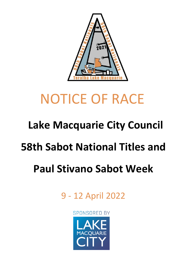

# NOTICE OF RACE

## **Lake Macquarie City Council**

### **58th Sabot National Titles and**

## **Paul Stivano Sabot Week**

9 - 12 April 2022

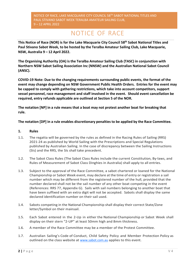### NOTICE OF RACE

**This Notice of Race (NOR) is for the Lake Macquarie City Council 58th Sabot National Titles and Paul Stivano Sabot Week, to be hosted by the Teralba Amateur Sailing Club, Lake Macquarie, NSW, Australia 9 – 12 April 2022.**

**The Organising Authority (OA) is the Teralba Amateur Sailing Club (TASC) in conjunction with Northern NSW Sabot Sailing Association Inc (NNSW) and the Australian National Sabot Council (ANSC).**

**COVID-19 Note: Due to the changing requirements surrounding public events, the format of the event may change depending on NSW Government Public Health Orders. Entries for the event may be capped to comply with gathering restrictions, which take into account competitors, support vessel personnel, race management and staff involved in the event. Should event cancellation be required, entry refunds applicable are outlined at Section 5 of the NOR.** 

**The notation [NP] in a rule means that a boat may not protest another boat for breaking that rule.**

#### **The notation [DP] in a rule enables discretionary penalties to be applied by the Race Committee.**

#### **1. Rules**

- 1.1. The regatta will be governed by the rules as defined in the Racing Rules of Sailing (RRS) 2021-24 as published by World Sailing with the Prescriptions and Special Regulations published by Australian Sailing. In the case of discrepancy between the Sailing Instructions (SIs) and the RRS, the SIs shall take precedent.
- 1.2. The Sabot Class Rules (The Sabot Class Rules include the current Constitution, By-laws, and Rules of Measurement of Sabot Class Dinghies in Australia) shall apply to all entries.
- 1.3. Subject to the approval of the Race Committee, a sabot chartered or loaned for the National Championship or Sabot Week event, may declare at the time of entry or registration a sail number which may be different from the registered number of the hull, provided that the number declared shall not be the sail number of any other boat competing in the event (References: RRS 77, Appendix G). Sails with sail numbers belonging to another boat that have been suffixed with an extra digit will not be accepted. Sabots shall display the same declared identification number on their sail used.
- 1.4. Sabots competing in the National Championship shall display their correct State/Zone letter/Symbol on their mainsail.
- 1.5. Each Sabot entered in the 2-Up in either the National Championship or Sabot Week shall display on their stern "2-UP" at least 50mm high and 8mm thickness.
- 1.6. A member of the Race Committee may be a member of the Protest Committee.
- 1.7. Australian Sailing's Code of Conduct, Child Safety Policy and Member Protection Policy as outlined on the class website at [www.sabot.com.au](http://www.sabot.com.au/) applies to this event.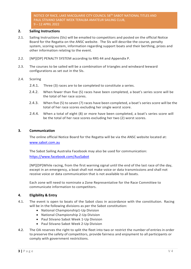#### **2. Sailing Instructions**

- 2.1. Sailing Instructions (SIs) will be emailed to competitors and posted on the official Notice Board for the Regatta on the ANSC website. The SIs will describe the course, penalty system, scoring system, information regarding support boats and their berthing, prizes and other information relating to the event.
- 2.2. [NP][DP] PENALTY SYSTEM according to RRS 44 and Appendix P.
- 2.3. The courses to be sailed will be a combination of triangles and windward leeward configurations as set out in the SIs.
- 2.4. Scoring
	- 2.4.1. Three (3) races are to be completed to constitute a series.
	- 2.4.2. When fewer than five (5) races have been completed, a boat's series score will be the total of her race scores.
	- 2.4.3. When five (5) to seven (7) races have been completed, a boat's series score will be the total of her race scores excluding her single worst score.
	- 2.4.4. When a total of eight (8) or more have been completed, a boat's series score will be the total of her race scores excluding her two (2) worst scores.

#### **3. Communication**

The online official Notice Board for the Regatta will be via the ANSC website located at: www.sabot.com.au

The Sabot Sailing Australia Facebook may also be used for communication: <https://www.facebook.com/AusSabot>

[NP][DP]While racing, from the first warning signal until the end of the last race of the day, except in an emergency, a boat shall not make voice or data transmissions and shall not receive voice or data communication that is not available to all boats.

Each zone will need to nominate a Zone Representative for the Race Committee to communicate information to competitors.

#### **4. Eligibility & Entry**

- 4.1. The event is open to boats of the Sabot class in accordance with the constitution. Racing will be in the following divisions as per the Sabot constitution:
	- National Championship1-Up Division
	- National Championship 2-Up Division
	- Paul Stivano Sabot Week 1-Up Division
	- Paul Stivano Sabot Week 2-Up Division
- 4.2. The OA reserves the right to split the fleet into two or restrict the number of entries in order to preserve the safety of competitors, provide fairness and enjoyment to all participants or comply with government restrictions.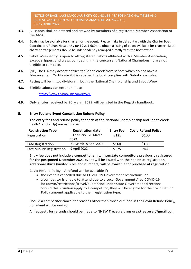- 4.3. All sabots shall be entered and crewed by members of a registered Member Association of the ANSC.
- 4.4. Boats may be available for charter for the event. Please make initial contact with the Charter Boat Coordinator, Rohan Nosworthy (0419 211 660), to obtain a listing of boats available for charter. Boat charter arrangements should be independently arranged directly with the boat owner.
- 4.5. Sabot Week entry is open to all registered Sabots affiliated with a Member Association, except skippers and crews competing in the concurrent National Championship are not eligible to compete.
- 4.6. [NP] The OA may accept entries for Sabot Week from sabots which do not have a Measurement Certificate if it is satisfied the boat complies with Sabot class rules.
- 4.7. Racing will be in two divisions in both the National Championship and Sabot Week.
- 4.8. Eligible sabots can enter online at:

<https://www.trybooking.com/BWZIL>

4.9. Only entries received by 20 March 2022 will be listed in the Regatta handbook.

#### **5. Entry Fee and Event Cancellation Refund Policy**

The entry fees and refund policy for each of the National Championship and Sabot Week (both 1 and 2 Up) are as follows:

| <b>Registration Type</b> | <b>Registration date</b>      | <b>Entry Fee</b> | <b>Covid Refund Policy</b> |
|--------------------------|-------------------------------|------------------|----------------------------|
| Registration             | 6 February - 20 March<br>2022 | \$125            | \$100                      |
| Late Registration        | 21 March -8 April 2022        | \$160            | \$100                      |
| Last Minute Registration | 9 April 2022                  | \$175            | N/A                        |

Entry fee does not include a competitor shirt. Interstate competitors previously registered for the postponed December 2021 event will be issued with their shirts at registration. Additional shirts (limited sizes and numbers) will be available for purchase at registration

Covid Refund Policy – A refund will be available if:

- the event is cancelled due to COVID -19 Government restrictions; or
- a competitor is unable to attend due to a Local Government Area COVID-19 lockdown/restrictions/travel/quarantine under State Government directions. Should this situation apply to a competitor, they will be eligible for the Covid Refund Policy amount applicable to their registration type.

Should a competitor cancel for reasons other than those outlined in the Covid Refund Policy, no refund will be owing.

All requests for refunds should be made to NNSW Treasurer: nnswssa.treasurer@gmail.com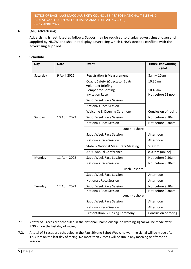#### **6. [NP] Advertising**

Advertising is restricted as follows: Sabots may be required to display advertising chosen and supplied by NNSW and shall not display advertising which NNSW decides conflicts with the advertising supplied.

#### **7. Schedule**

| Day      | <b>Date</b>   | Event                                                         | <b>Time/First warning</b><br>signal |  |
|----------|---------------|---------------------------------------------------------------|-------------------------------------|--|
| Saturday | 9 April 2022  | <b>Registration &amp; Measurement</b>                         | $8am - 10am$                        |  |
|          |               | Coach, Safety & Spectator Boats,<br><b>Volunteer Briefing</b> | 10.30am<br>10.45am                  |  |
|          |               | <b>Competitor Briefing</b><br><b>Invitation Race</b>          | Not before 12 noon                  |  |
|          |               | Sabot Week Race Session                                       |                                     |  |
|          |               | <b>Nationals Race Session</b>                                 |                                     |  |
|          |               | <b>Welcome &amp; Opening Ceremony</b>                         | Conclusion of racing                |  |
| Sunday   | 10 April 2022 | <b>Sabot Week Race Session</b>                                | Not before 9.30am                   |  |
|          |               | <b>Nationals Race Session</b>                                 | Not before 9.30am                   |  |
|          |               | Lunch - ashore                                                |                                     |  |
|          |               | Sabot Week Race Session                                       | Afternoon                           |  |
|          |               | <b>Nationals Race Session</b>                                 | Afternoon                           |  |
|          |               | <b>State &amp; National Measurers Meeting</b>                 | 5.30pm                              |  |
|          |               | <b>ANSC Annual Conference</b>                                 | 8.00pm (online)                     |  |
| Monday   | 11 April 2022 | <b>Sabot Week Race Session</b>                                | Not before 9.30am                   |  |
|          |               | <b>Nationals Race Session</b>                                 | Not before 9.30am                   |  |
|          |               | Lunch - ashore                                                |                                     |  |
|          |               | Sabot Week Race Session                                       | Afternoon                           |  |
|          |               | <b>Nationals Race Session</b>                                 | Afternoon                           |  |
| Tuesday  | 12 April 2022 | Sabot Week Race Session                                       | Not before 9.30am                   |  |
|          |               | <b>Nationals Race Session</b>                                 | Not before 9.30am                   |  |
|          |               | Lunch - ashore                                                |                                     |  |
|          |               | Sabot Week Race Session                                       | Afternoon                           |  |
|          |               | <b>Nationals Race Session</b>                                 | Afternoon                           |  |
|          |               | <b>Presentation &amp; Closing Ceremony</b>                    | Conclusion of racing                |  |

- 7.1. A total of 9 races are scheduled in the National Championship, no warning signal will be made after 3.30pm on the last day of racing.
- 7.2. A total of 8 races are scheduled in the Paul Stivano Sabot Week, no warning signal will be made after 12.30pm on the last day of racing. No more than 2 races will be run in any morning or afternoon session.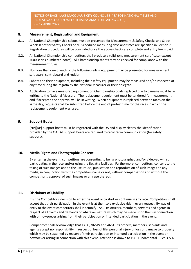#### **8. Measurement, Registration and Equipment**

- 8.1. All National Championship sabots must be presented for Measurement & Safety Checks and Sabot Week sabot for Safety Checks only. Scheduled measuring days and times are specified in Section 7. Registration procedures will be concluded once the above checks are complete and entry fee is paid.
- 8.2. All National Championship competitors shall produce a valid zone measurement certificate (except 7000 series numbered boats). All Championship sabots may be checked for compliance with the measurement rules.
- 8.3. No more than one of each of the following sailing equipment may be presented for measurement: sail, spars, centreboard and rudder.
- 8.4. Sabots and their equipment, including their safety equipment, may be measured and/or inspected at any time during the regatta by the National Measurer or their delegate.
- 8.5. Application to have measured equipment on Championship boats replaced due to damage must be in writing to the National Measurer. The replacement equipment must be tendered for measurement, and if accepted the approval will be in writing. When equipment is replaced between races on the same day, requests shall be submitted before the end of protest time for the races in which the replacement equipment was used.

#### **9. Support Boats**

[NP][DP] Support boats must be registered with the OA and display clearly the identification provided by the OA. All support boats are required to carry radio communication (for safety support).

#### **10. Media Rights and Photographic Consent**

By entering the event, competitors are consenting to being photographed and/or video-ed whilst participating in the race and/or using the Regatta facilities. Furthermore, competitors' consent to the taking of such images and to the use, reuse, publication and reproduction of such images an any media, in conjunction with the competitors name or not, without compensation and without the competitor's approval of such images or any use thereof.

#### **11. Disclaimer of Liability**

It is the Competitor's decision to enter the event or to start or continue in any race. Competitors shall accept that their participation in the event is at their sole exclusive risk in every respect. By way of entry to the event competitors shall indemnify TASC. its officers, members, servants and agents in respect of all claims and demands of whatever nature which may be made upon them in connection with or howsoever arising from their participation or intended participation in the event.

Competitors shall acknowledge that TASC, NNSW and ANSC, its officers, members, servants and agents accept no responsibility in respect of loss of life, personal injury or loss or damage to property which may be sustained by reason of their participation or intended participation in the event or howsoever arising in connection with this event. Attention is drawn to ISAF Fundamental Rules 3 & 4.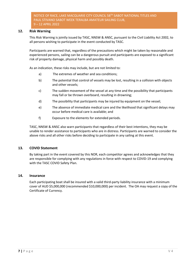#### **12. Risk Warning**

This Risk Warning is jointly issued by TASC, NNSW & ANSC, pursuant to the Civil Liability Act 2002, to all persons wishing to participate in the event conducted by TASC.

Participants are warned that, regardless of the precautions which might be taken by reasonable and experienced persons, sailing can be a dangerous pursuit and participants are exposed to a significant risk of property damage, physical harm and possibly death.

As an indication, these risks may include, but are not limited to:

- a) The extremes of weather and sea conditions;
- b) The potential that control of vessels may be lost, resulting in a collision with objects and other vessels;
- c) The sudden movement of the vessel at any time and the possibility that participants may fall or be thrown overboard, resulting in drowning;
- d) The possibility that participants may be injured by equipment on the vessel;
- e) The absence of immediate medical care and the likelihood that significant delays may occur before medical care is available; and
- f) Exposure to the elements for extended periods.

TASC, NNSW & ANSC also warn participants that regardless of their best intentions, they may be unable to render assistance to participants who are in distress. Participants are warned to consider the above risks and all other risks before deciding to participate in any sailing at this event.

#### **13. COVID Statement**

By taking part in the event covered by this NOR, each competitor agrees and acknowledges that they are responsible for complying with any regulations in force with respect to COVID-19 and complying with the TASC COVID Safety Plan.

#### **14. Insurance**

Each participating boat shall be insured with a valid third-party liability insurance with a minimum cover of AUD \$5,000,000 (recommended \$10,000,000) per incident. The OA may request a copy of the Certificate of Currency.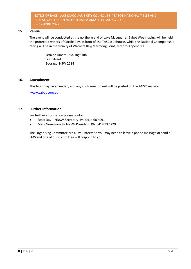#### **15. Venue**

The event will be conducted at the northern end of Lake Macquarie. Sabot Week racing will be held in the protected waters of Cockle Bay, in front of the TASC clubhouse, while the National Championship racing will be in the vicinity of Warners Bay/Marmong Point, refer to Appendix 1.

> Teralba Amateur Sailing Club First Street Booragul NSW 2284

#### **16. Amendment**

This NOR may be amended, and any such amendment will be posted on the ANSC website:

[www.sabot.com.au](http://www.sabot.com.au/)

#### **17. Further Information**

For further information please contact

- Scott Day NNSW Secretary, Ph: 0414 689 091
- Mark Greenwood NNSW President, Ph: 0418 937 229

The Organising Committee are all volunteers so you may need to leave a phone message or send a SMS and one of our committee will respond to you.